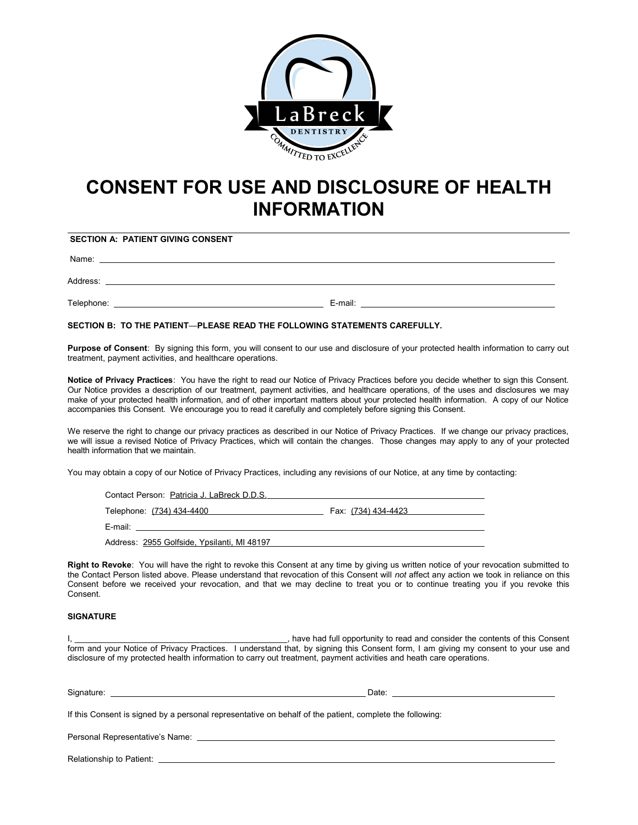

## **CONSENT FOR USE AND DISCLOSURE OF HEALTH INFORMATION**

**SECTION A: PATIENT GIVING CONSENT**

Name:

Address:

Telephone: E-mail:

**SECTION B: TO THE PATIENT**—**PLEASE READ THE FOLLOWING STATEMENTS CAREFULLY.**

**Purpose of Consent**: By signing this form, you will consent to our use and disclosure of your protected health information to carry out treatment, payment activities, and healthcare operations.

**Notice of Privacy Practices**: You have the right to read our Notice of Privacy Practices before you decide whether to sign this Consent. Our Notice provides a description of our treatment, payment activities, and healthcare operations, of the uses and disclosures we may make of your protected health information, and of other important matters about your protected health information. A copy of our Notice accompanies this Consent. We encourage you to read it carefully and completely before signing this Consent.

We reserve the right to change our privacy practices as described in our Notice of Privacy Practices. If we change our privacy practices, we will issue a revised Notice of Privacy Practices, which will contain the changes. Those changes may apply to any of your protected health information that we maintain.

You may obtain a copy of our Notice of Privacy Practices, including any revisions of our Notice, at any time by contacting:

| Contact Person: Patricia J. LaBreck D.D.S.  |                     |
|---------------------------------------------|---------------------|
| Telephone: (734) 434-4400                   | Fax: (734) 434-4423 |
| E-mail: <b>E-mail:</b>                      |                     |
| Address: 2955 Golfside, Ypsilanti, MI 48197 |                     |

**Right to Revoke**: You will have the right to revoke this Consent at any time by giving us written notice of your revocation submitted to the Contact Person listed above. Please understand that revocation of this Consent will *not* affect any action we took in reliance on this Consent before we received your revocation, and that we may decline to treat you or to continue treating you if you revoke this Consent.

## **SIGNATURE**

I, that is a consent the same of the state of the consent of the contents of this Consent of this Consent of this Consent form and your Notice of Privacy Practices. I understand that, by signing this Consent form, I am giving my consent to your use and disclosure of my protected health information to carry out treatment, payment activities and heath care operations.

| Signature:<br><u> 1989 - Johann Stoff, deutscher Stoff, der Stoff, der Stoff, der Stoff, der Stoff, der Stoff, der Stoff, der S</u> | Date:                                                                                                    |
|-------------------------------------------------------------------------------------------------------------------------------------|----------------------------------------------------------------------------------------------------------|
|                                                                                                                                     | If this Consent is signed by a personal representative on behalf of the patient, complete the following: |
| Personal Representative's Name:                                                                                                     |                                                                                                          |

Relationship to Patient: